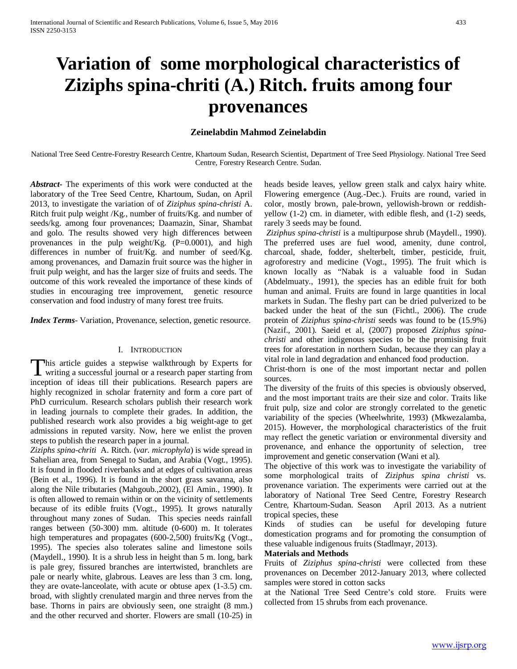# **Variation of some morphological characteristics of Ziziphs spina-chriti (A.) Ritch. fruits among four provenances**

# **Zeinelabdin Mahmod Zeinelabdin**

National Tree Seed Centre-Forestry Research Centre, Khartoum Sudan, Research Scientist, Department of Tree Seed Physiology. National Tree Seed Centre, Forestry Research Centre. Sudan.

*Abstract***-** The experiments of this work were conducted at the laboratory of the Tree Seed Centre, Khartoum, Sudan, on April 2013, to investigate the variation of of *Ziziphus spina-christi* A. Ritch fruit pulp weight /Kg., number of fruits/Kg. and number of seeds/kg. among four provenances; Daamazin, Sinar, Shambat and golo. The results showed very high differences between provenances in the pulp weight/Kg.  $(P=0.0001)$ , and high differences in number of fruit/Kg. and number of seed/Kg. among provenances, and Damazin fruit source was the higher in fruit pulp weight, and has the larger size of fruits and seeds. The outcome of this work revealed the importance of these kinds of studies in encouraging tree improvement, genetic resource conservation and food industry of many forest tree fruits.

*Index Terms*- Variation, Provenance, selection, genetic resource.

#### I. INTRODUCTION

This article guides a stepwise walkthrough by Experts for writing a successful journal or a research paper starting from **I** writing a successful journal or a research paper starting from inception of ideas till their publications. Research papers are highly recognized in scholar fraternity and form a core part of PhD curriculum. Research scholars publish their research work in leading journals to complete their grades. In addition, the published research work also provides a big weight-age to get admissions in reputed varsity. Now, here we enlist the proven steps to publish the research paper in a journal.

*Ziziphs spina-chriti* A. Ritch. (*var. microphyla*) is wide spread in Sahelian area, from Senegal to Sudan, and Arabia (Vogt., 1995). It is found in flooded riverbanks and at edges of cultivation areas (Bein et al., 1996). It is found in the short grass savanna, also along the Nile tributaries (Mahgoub.,2002), (El Amin., 1990). It is often allowed to remain within or on the vicinity of settlements because of its edible fruits (Vogt., 1995). It grows naturally throughout many zones of Sudan. This species needs rainfall ranges between (50-300) mm. altitude (0-600) m. It tolerates high temperatures and propagates (600-2,500) fruits/Kg (Vogt., 1995). The species also tolerates saline and limestone soils (Maydell., 1990). It is a shrub less in height than 5 m. long, bark is pale grey, fissured branches are intertwisted, branchlets are pale or nearly white, glabrous. Leaves are less than 3 cm. long, they are ovate-lanceolate, with acute or obtuse apex (1-3.5) cm. broad, with slightly crenulated margin and three nerves from the base. Thorns in pairs are obviously seen, one straight (8 mm.) and the other recurved and shorter. Flowers are small (10-25) in heads beside leaves, yellow green stalk and calyx hairy white. Flowering emergence (Aug.-Dec.). Fruits are round, varied in color, mostly brown, pale-brown, yellowish-brown or reddishyellow (1-2) cm. in diameter, with edible flesh, and (1-2) seeds, rarely 3 seeds may be found.

*Ziziphus spina-christi* is a multipurpose shrub (Maydell., 1990). The preferred uses are fuel wood, amenity, dune control, charcoal, shade, fodder, shelterbelt, timber, pesticide, fruit, agroforestry and medicine (Vogt., 1995). The fruit which is known locally as "Nabak is a valuable food in Sudan (Abdelmuaty., 1991), the species has an edible fruit for both human and animal. Fruits are found in large quantities in local markets in Sudan. The fleshy part can be dried pulverized to be backed under the heat of the sun (Fichtl., 2006). The crude protein of *Ziziphus spina-christi* seeds was found to be (15.9%) (Nazif., 2001). Saeid et al, (2007) proposed *Ziziphus spinachristi* and other indigenous species to be the promising fruit trees for aforestation in northern Sudan, because they can play a vital role in land degradation and enhanced food production.

Christ-thorn is one of the most important nectar and pollen sources.

The diversity of the fruits of this species is obviously observed, and the most important traits are their size and color. Traits like fruit pulp, size and color are strongly correlated to the genetic variability of the species (Wheelwhrite, 1993) (Mkwezalamba, 2015). However, the morphological characteristics of the fruit may reflect the genetic variation or environmental diversity and provenance, and enhance the opportunity of selection, tree improvement and genetic conservation (Wani et al).

The objective of this work was to investigate the variability of some morphological traits of *Ziziphus spina christi* vs. provenance variation. The experiments were carried out at the laboratory of National Tree Seed Centre, Forestry Research Centre, Khartoum-Sudan. Season April 2013. As a nutrient tropical species, these

Kinds of studies can be useful for developing future domestication programs and for promoting the consumption of these valuable indigenous fruits (Stadlmayr, 2013).

#### **Materials and Methods**

Fruits of *Ziziphus spina-christi* were collected from these provenances on December 2012-January 2013, where collected samples were stored in cotton sacks

at the National Tree Seed Centre's cold store. Fruits were collected from 15 shrubs from each provenance.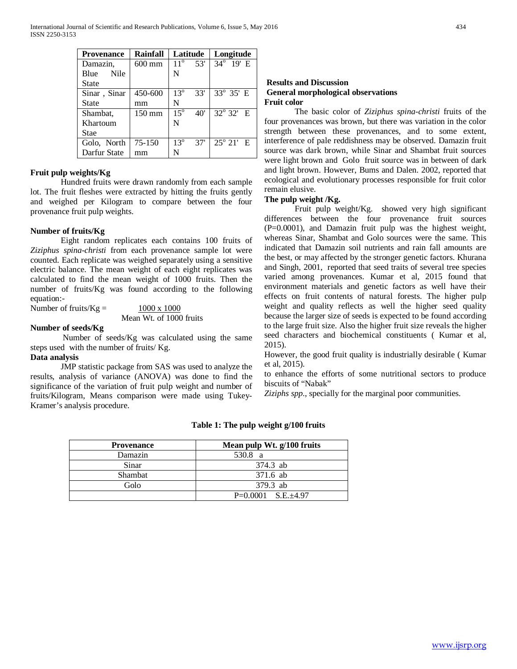| <b>Provenance</b> | <b>Rainfall</b>  | Latitude            | Longitude                     |
|-------------------|------------------|---------------------|-------------------------------|
| Damazin,          | $600$ mm         | $11^{\circ}$<br>53' | 34° 19' E                     |
| Nile<br>Blue      |                  | N                   |                               |
| <b>State</b>      |                  |                     |                               |
| Sinar, Sinar      | 450-600          | $13^{\circ}$<br>33' | $33^{\circ}$ 35' E            |
| State             | mm               | N                   |                               |
| Shambat,          | $150 \text{ mm}$ | $15^\circ$<br>40'   | $32^{\circ} 32'$ E            |
| Khartoum          |                  | N                   |                               |
| Stae              |                  |                     |                               |
| Golo, North       | 75-150           | $13^{\circ}$<br>37' | $\overline{25}^{\circ}$ 21' E |
| Darfur State      | mm               | N                   |                               |

# **Fruit pulp weights/Kg**

Hundred fruits were drawn randomly from each sample lot. The fruit fleshes were extracted by hitting the fruits gently and weighed per Kilogram to compare between the four provenance fruit pulp weights.

# **Number of fruits/Kg**

Eight random replicates each contains 100 fruits of *Ziziphus spina-christi* from each provenance sample lot were counted. Each replicate was weighed separately using a sensitive electric balance. The mean weight of each eight replicates was calculated to find the mean weight of 1000 fruits. Then the number of fruits/Kg was found according to the following equation:-

Number of fruits/Kg =  $\frac{1000 \times 1000}{x}$ 

Mean Wt. of 1000 fruits

### **Number of seeds/Kg**

Number of seeds/Kg was calculated using the same steps used with the number of fruits/ Kg.

# **Data analysis**

JMP statistic package from SAS was used to analyze the results, analysis of variance (ANOVA) was done to find the significance of the variation of fruit pulp weight and number of fruits/Kilogram, Means comparison were made using Tukey-Kramer's analysis procedure.

# **Results and Discussion General morphological observations Fruit color**

The basic color of *Ziziphus spina-christi* fruits of the four provenances was brown, but there was variation in the color strength between these provenances, and to some extent, interference of pale reddishness may be observed. Damazin fruit source was dark brown, while Sinar and Shambat fruit sources were light brown and Golo fruit source was in between of dark and light brown. However, Bums and Dalen. 2002, reported that ecological and evolutionary processes responsible for fruit color remain elusive.

#### **The pulp weight /Kg.**

Fruit pulp weight/Kg. showed very high significant differences between the four provenance fruit sources (P=0.0001), and Damazin fruit pulp was the highest weight, whereas Sinar, Shambat and Golo sources were the same. This indicated that Damazin soil nutrients and rain fall amounts are the best, or may affected by the stronger genetic factors. Khurana and Singh, 2001, reported that seed traits of several tree species varied among provenances. Kumar et al, 2015 found that environment materials and genetic factors as well have their effects on fruit contents of natural forests. The higher pulp weight and quality reflects as well the higher seed quality because the larger size of seeds is expected to be found according to the large fruit size. Also the higher fruit size reveals the higher seed characters and biochemical constituents ( Kumar et al, 2015).

However, the good fruit quality is industrially desirable ( Kumar et al, 2015).

to enhance the efforts of some nutritional sectors to produce biscuits of "Nabak"

*Ziziphs spp*., specially for the marginal poor communities.

| <b>Provenance</b> | Mean pulp Wt. g/100 fruits |
|-------------------|----------------------------|
| Damazin           | 530.8 a                    |
| Sinar             | 374.3 ab                   |
| Shambat           | 371.6 ab                   |
| Golo              | 379.3 ab                   |
|                   | $P=0.0001$ S.E. $\pm 4.97$ |

# **Table 1: The pulp weight g/100 fruits**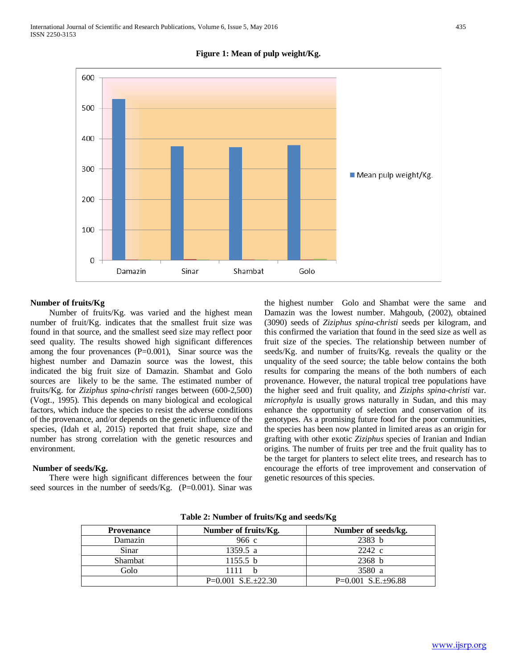

# **Figure 1: Mean of pulp weight/Kg.**

#### **Number of fruits/Kg**

Number of fruits/Kg. was varied and the highest mean number of fruit/Kg. indicates that the smallest fruit size was found in that source, and the smallest seed size may reflect poor seed quality. The results showed high significant differences among the four provenances  $(P=0.001)$ , Sinar source was the highest number and Damazin source was the lowest, this indicated the big fruit size of Damazin. Shambat and Golo sources are likely to be the same. The estimated number of fruits/Kg. for *Ziziphus spina-christi* ranges between (600-2,500) (Vogt., 1995). This depends on many biological and ecological factors, which induce the species to resist the adverse conditions of the provenance, and/or depends on the genetic influence of the species, (Idah et al, 2015) reported that fruit shape, size and number has strong correlation with the genetic resources and environment.

#### **Number of seeds/Kg.**

There were high significant differences between the four seed sources in the number of seeds/Kg.  $(P=0.001)$ . Sinar was the highest number Golo and Shambat were the same and Damazin was the lowest number. Mahgoub, (2002), obtained (3090) seeds of *Ziziphus spina-christi* seeds per kilogram, and this confirmed the variation that found in the seed size as well as fruit size of the species. The relationship between number of seeds/Kg. and number of fruits/Kg. reveals the quality or the unquality of the seed source; the table below contains the both results for comparing the means of the both numbers of each provenance. However, the natural tropical tree populations have the higher seed and fruit quality, and *Ziziphs spina-christi* var. *microphyla* is usually grows naturally in Sudan, and this may enhance the opportunity of selection and conservation of its genotypes. As a promising future food for the poor communities, the species has been now planted in limited areas as an origin for grafting with other exotic *Ziziphus* species of Iranian and Indian origins. The number of fruits per tree and the fruit quality has to be the target for planters to select elite trees, and research has to encourage the efforts of tree improvement and conservation of genetic resources of this species.

| <b>Provenance</b> | Number of fruits/Kg.       | Number of seeds/kg.        |
|-------------------|----------------------------|----------------------------|
| Damazin           | 966c                       | 2383 b                     |
| Sinar             | 1359.5 a                   | 2242 c                     |
| Shambat           | 1155.5 b                   | 2368 b                     |
| Golo              | 1111                       | 3580 a                     |
|                   | $P=0.001$ S.E. $\pm 22.30$ | $P=0.001$ S.E. $\pm$ 96.88 |

**Table 2: Number of fruits/Kg and seeds/Kg**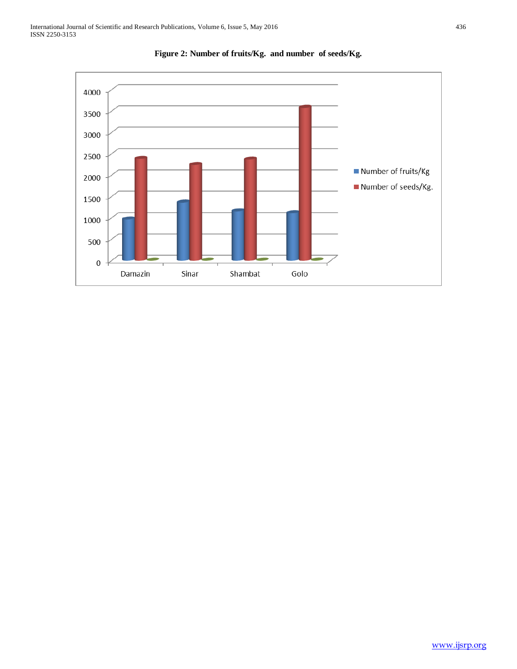

**Figure 2: Number of fruits/Kg. and number of seeds/Kg.**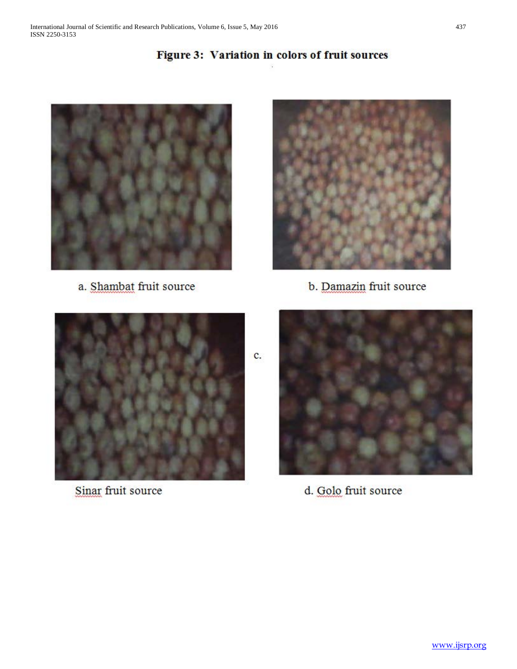# Figure 3: Variation in colors of fruit sources



a. Shambat fruit source



b. Damazin fruit source



Sinar fruit source



d. Golo fruit source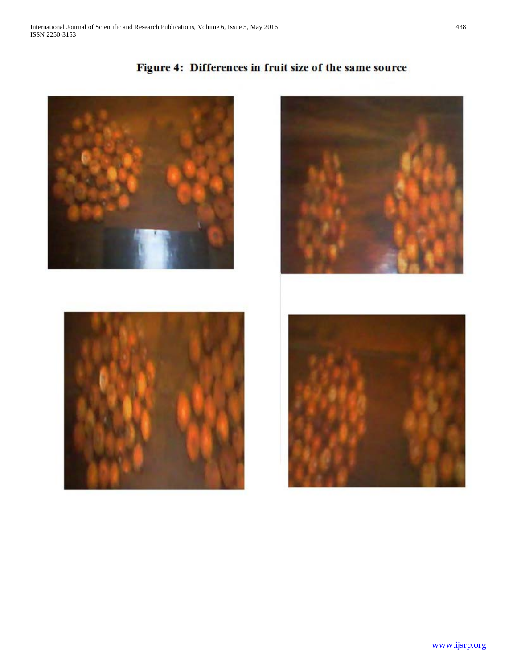







Figure 4: Differences in fruit size of the same source